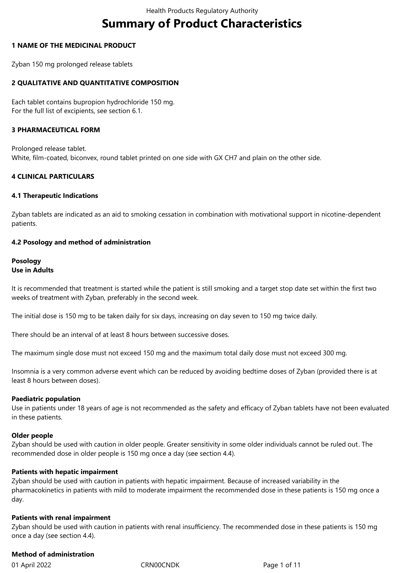# **Summary of Product Characteristics**

#### **1 NAME OF THE MEDICINAL PRODUCT**

Zyban 150 mg prolonged release tablets

## **2 QUALITATIVE AND QUANTITATIVE COMPOSITION**

Each tablet contains bupropion hydrochloride 150 mg. For the full list of excipients, see section 6.1.

#### **3 PHARMACEUTICAL FORM**

Prolonged release tablet. White, film-coated, biconvex, round tablet printed on one side with GX CH7 and plain on the other side.

#### **4 CLINICAL PARTICULARS**

#### **4.1 Therapeutic Indications**

Zyban tablets are indicated as an aid to smoking cessation in combination with motivational support in nicotine-dependent patients.

#### **4.2 Posology and method of administration**

#### **Posology Use in Adults**

It is recommended that treatment is started while the patient is still smoking and a target stop date set within the first two weeks of treatment with Zyban, preferably in the second week.

The initial dose is 150 mg to be taken daily for six days, increasing on day seven to 150 mg twice daily.

There should be an interval of at least 8 hours between successive doses.

The maximum single dose must not exceed 150 mg and the maximum total daily dose must not exceed 300 mg.

Insomnia is a very common adverse event which can be reduced by avoiding bedtime doses of Zyban (provided there is at least 8 hours between doses).

#### **Paediatric population**

Use in patients under 18 years of age is not recommended as the safety and efficacy of Zyban tablets have not been evaluated in these patients.

#### **Older people**

Zyban should be used with caution in older people. Greater sensitivity in some older individuals cannot be ruled out. The recommended dose in older people is 150 mg once a day (see section 4.4).

#### **Patients with hepatic impairment**

Zyban should be used with caution in patients with hepatic impairment. Because of increased variability in the pharmacokinetics in patients with mild to moderate impairment the recommended dose in these patients is 150 mg once a day.

## **Patients with renal impairment**

Zyban should be used with caution in patients with renal insufficiency. The recommended dose in these patients is 150 mg once a day (see section 4.4).

## **Method of administration**

01 April 2022 CRN00CNDK Page 1 of 11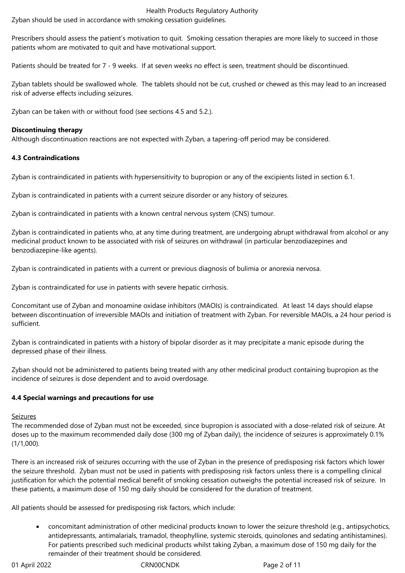Zyban should be used in accordance with smoking cessation guidelines.

Prescribers should assess the patient's motivation to quit. Smoking cessation therapies are more likely to succeed in those patients whom are motivated to quit and have motivational support.

Patients should be treated for 7 - 9 weeks. If at seven weeks no effect is seen, treatment should be discontinued.

Zyban tablets should be swallowed whole. The tablets should not be cut, crushed or chewed as this may lead to an increased risk of adverse effects including seizures.

Zyban can be taken with or without food (see sections 4.5 and 5.2.).

## **Discontinuing therapy**

Although discontinuation reactions are not expected with Zyban, a tapering-off period may be considered.

#### **4.3 Contraindications**

Zyban is contraindicated in patients with hypersensitivity to bupropion or any of the excipients listed in section 6.1.

Zyban is contraindicated in patients with a current seizure disorder or any history of seizures.

Zyban is contraindicated in patients with a known central nervous system (CNS) tumour.

Zyban is contraindicated in patients who, at any time during treatment, are undergoing abrupt withdrawal from alcohol or any medicinal product known to be associated with risk of seizures on withdrawal (in particular benzodiazepines and benzodiazepine-like agents).

Zyban is contraindicated in patients with a current or previous diagnosis of bulimia or anorexia nervosa.

Zyban is contraindicated for use in patients with severe hepatic cirrhosis.

Concomitant use of Zyban and monoamine oxidase inhibitors (MAOIs) is contraindicated. At least 14 days should elapse between discontinuation of irreversible MAOIs and initiation of treatment with Zyban. For reversible MAOIs, a 24 hour period is sufficient.

Zyban is contraindicated in patients with a history of bipolar disorder as it may precipitate a manic episode during the depressed phase of their illness.

Zyban should not be administered to patients being treated with any other medicinal product containing bupropion as the incidence of seizures is dose dependent and to avoid overdosage.

## **4.4 Special warnings and precautions for use**

#### Seizures

The recommended dose of Zyban must not be exceeded, since bupropion is associated with a dose-related risk of seizure. At doses up to the maximum recommended daily dose (300 mg of Zyban daily), the incidence of seizures is approximately 0.1% (1/1,000).

There is an increased risk of seizures occurring with the use of Zyban in the presence of predisposing risk factors which lower the seizure threshold. Zyban must not be used in patients with predisposing risk factors unless there is a compelling clinical justification for which the potential medical benefit of smoking cessation outweighs the potential increased risk of seizure. In these patients, a maximum dose of 150 mg daily should be considered for the duration of treatment.

All patients should be assessed for predisposing risk factors, which include:

 concomitant administration of other medicinal products known to lower the seizure threshold (e.g., antipsychotics, antidepressants, antimalarials, tramadol, theophylline, systemic steroids, quinolones and sedating antihistamines). For patients prescribed such medicinal products whilst taking Zyban, a maximum dose of 150 mg daily for the remainder of their treatment should be considered.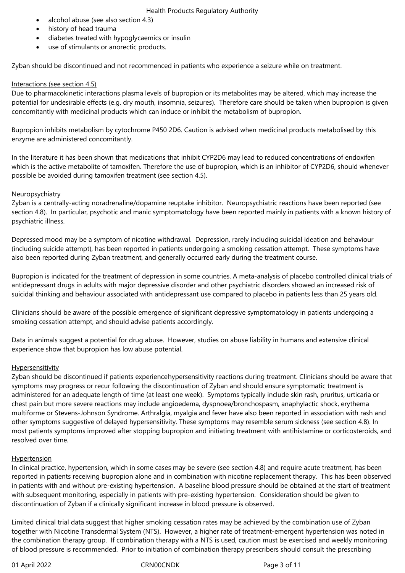- alcohol abuse (see also section 4.3)
- history of head trauma
- diabetes treated with hypoglycaemics or insulin
- use of stimulants or anorectic products.

Zyban should be discontinued and not recommenced in patients who experience a seizure while on treatment.

#### Interactions (see section 4.5)

Due to pharmacokinetic interactions plasma levels of bupropion or its metabolites may be altered, which may increase the potential for undesirable effects (e.g. dry mouth, insomnia, seizures). Therefore care should be taken when bupropion is given concomitantly with medicinal products which can induce or inhibit the metabolism of bupropion.

Bupropion inhibits metabolism by cytochrome P450 2D6. Caution is advised when medicinal products metabolised by this enzyme are administered concomitantly.

In the literature it has been shown that medications that inhibit CYP2D6 may lead to reduced concentrations of endoxifen which is the active metabolite of tamoxifen. Therefore the use of bupropion, which is an inhibitor of CYP2D6, should whenever possible be avoided during tamoxifen treatment (see section 4.5).

## **Neuropsychiatry**

Zyban is a centrally-acting noradrenaline/dopamine reuptake inhibitor. Neuropsychiatric reactions have been reported (see section 4.8). In particular, psychotic and manic symptomatology have been reported mainly in patients with a known history of psychiatric illness.

Depressed mood may be a symptom of nicotine withdrawal. Depression, rarely including suicidal ideation and behaviour (including suicide attempt), has been reported in patients undergoing a smoking cessation attempt. These symptoms have also been reported during Zyban treatment, and generally occurred early during the treatment course.

Bupropion is indicated for the treatment of depression in some countries. A meta-analysis of placebo controlled clinical trials of antidepressant drugs in adults with major depressive disorder and other psychiatric disorders showed an increased risk of suicidal thinking and behaviour associated with antidepressant use compared to placebo in patients less than 25 years old.

Clinicians should be aware of the possible emergence of significant depressive symptomatology in patients undergoing a smoking cessation attempt, and should advise patients accordingly.

Data in animals suggest a potential for drug abuse. However, studies on abuse liability in humans and extensive clinical experience show that bupropion has low abuse potential.

## **Hypersensitivity**

Zyban should be discontinued if patients experiencehypersensitivity reactions during treatment. Clinicians should be aware that symptoms may progress or recur following the discontinuation of Zyban and should ensure symptomatic treatment is administered for an adequate length of time (at least one week). Symptoms typically include skin rash, pruritus, urticaria or chest pain but more severe reactions may include angioedema, dyspnoea/bronchospasm, anaphylactic shock, erythema multiforme or Stevens-Johnson Syndrome. Arthralgia, myalgia and fever have also been reported in association with rash and other symptoms suggestive of delayed hypersensitivity. These symptoms may resemble serum sickness (see section 4.8). In most patients symptoms improved after stopping bupropion and initiating treatment with antihistamine or corticosteroids, and resolved over time.

#### Hypertension

In clinical practice, hypertension, which in some cases may be severe (see section 4.8) and require acute treatment, has been reported in patients receiving bupropion alone and in combination with nicotine replacement therapy. This has been observed in patients with and without pre-existing hypertension. A baseline blood pressure should be obtained at the start of treatment with subsequent monitoring, especially in patients with pre-existing hypertension. Consideration should be given to discontinuation of Zyban if a clinically significant increase in blood pressure is observed.

Limited clinical trial data suggest that higher smoking cessation rates may be achieved by the combination use of Zyban together with Nicotine Transdermal System (NTS). However, a higher rate of treatment-emergent hypertension was noted in the combination therapy group. If combination therapy with a NTS is used, caution must be exercised and weekly monitoring of blood pressure is recommended. Prior to initiation of combination therapy prescribers should consult the prescribing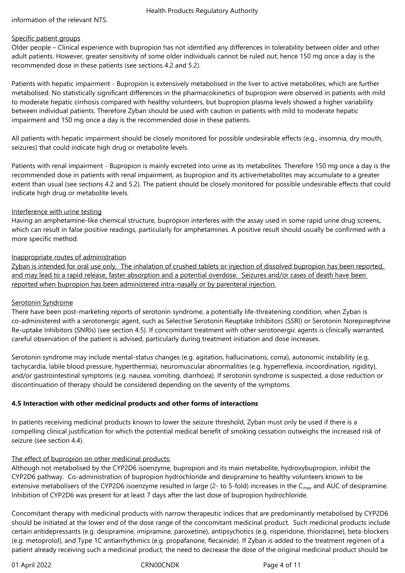information of the relevant NTS.

## Specific patient groups

Older people – Clinical experience with bupropion has not identified any differences in tolerability between older and other adult patients. However, greater sensitivity of some older individuals cannot be ruled out; hence 150 mg once a day is the recommended dose in these patients (see sections 4.2 and 5.2).

Patients with hepatic impairment - Bupropion is extensively metabolised in the liver to active metabolites, which are further metabolised. No statistically significant differences in the pharmacokinetics of bupropion were observed in patients with mild to moderate hepatic cirrhosis compared with healthy volunteers, but bupropion plasma levels showed a higher variability between individual patients. Therefore Zyban should be used with caution in patients with mild to moderate hepatic impairment and 150 mg once a day is the recommended dose in these patients.

All patients with hepatic impairment should be closely monitored for possible undesirable effects (e.g., insomnia, dry mouth, seizures) that could indicate high drug or metabolite levels.

Patients with renal impairment - Bupropion is mainly excreted into urine as its metabolites. Therefore 150 mg once a day is the recommended dose in patients with renal impairment, as bupropion and its activemetabolites may accumulate to a greater extent than usual (see sections 4.2 and 5.2). The patient should be closely monitored for possible undesirable effects that could indicate high drug or metabolite levels.

#### Interference with urine testing

Having an amphetamine-like chemical structure, bupropion interferes with the assay used in some rapid urine drug screens, which can result in false positive readings, particularly for amphetamines. A positive result should usually be confirmed with a more specific method.

#### Inappropriate routes of administration

Zyban is intended for oral use only. The inhalation of crushed tablets or injection of dissolved bupropion has been reported, and may lead to a rapid release, faster absorption and a potential overdose. Seizures and/or cases of death have been reported when bupropion has been administered intra-nasally or by parenteral injection.

## Serotonin Syndrome

There have been post-marketing reports of serotonin syndrome, a potentially life-threatening condition, when Zyban is co-administered with a serotonergic agent, such as Selective Serotonin Reuptake Inhibitors (SSRI) or Serotonin Norepinephrine Re-uptake Inhibitors (SNRIs) (see section 4.5). If concomitant treatment with other serotonergic agents is clinically warranted, careful observation of the patient is advised, particularly during treatment initiation and dose increases.

Serotonin syndrome may include mental-status changes (e.g. agitation, hallucinations, coma), autonomic instability (e.g. tachycardia, labile blood pressure, hyperthermia), neuromuscular abnormalities (e.g. hyperreflexia, incoordination, rigidity), and/or gastrointestinal symptoms (e.g. nausea, vomiting, diarrhoea). If serotonin syndrome is suspected, a dose reduction or discontinuation of therapy should be considered depending on the severity of the symptoms.

## **4.5 Interaction with other medicinal products and other forms of interactions**

In patients receiving medicinal products known to lower the seizure threshold, Zyban must only be used if there is a compelling clinical justification for which the potential medical benefit of smoking cessation outweighs the increased risk of seizure (see section 4.4).

## The effect of bupropion on other medicinal products:

Although not metabolised by the CYP2D6 isoenzyme, bupropion and its main metabolite, hydroxybupropion, inhibit the CYP2D6 pathway. Co-administration of bupropion hydrochloride and desipramine to healthy volunteers known to be extensive metabolisers of the CYP2D6 isoenzyme resulted in large (2- to 5-fold) increases in the  $C_{\text{max}}$  and AUC of desipramine. Inhibition of CYP2D6 was present for at least 7 days after the last dose of bupropion hydrochloride.

Concomitant therapy with medicinal products with narrow therapeutic indices that are predominantly metabolised by CYP2D6 should be initiated at the lower end of the dose range of the concomitant medicinal product. Such medicinal products include certain antidepressants (e.g. desipramine, imipramine, paroxetine), antipsychotics (e.g. risperidone, thioridazine), beta-blockers (e.g. metoprolol), and Type 1C antiarrhythmics (e.g. propafanone, flecainide). If Zyban is added to the treatment regimen of a patient already receiving such a medicinal product, the need to decrease the dose of the original medicinal product should be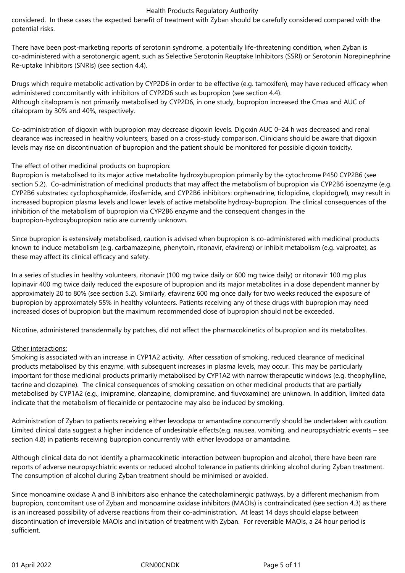considered. In these cases the expected benefit of treatment with Zyban should be carefully considered compared with the potential risks.

There have been post-marketing reports of serotonin syndrome, a potentially life-threatening condition, when Zyban is co-administered with a serotonergic agent, such as Selective Serotonin Reuptake Inhibitors (SSRI) or Serotonin Norepinephrine Re-uptake Inhibitors (SNRIs) (see section 4.4).

Drugs which require metabolic activation by CYP2D6 in order to be effective (e.g. tamoxifen), may have reduced efficacy when administered concomitantly with inhibitors of CYP2D6 such as bupropion (see section 4.4). Although citalopram is not primarily metabolised by CYP2D6, in one study, bupropion increased the Cmax and AUC of citalopram by 30% and 40%, respectively.

Co-administration of digoxin with bupropion may decrease digoxin levels. Digoxin AUC 0–24 h was decreased and renal clearance was increased in healthy volunteers, based on a cross-study comparison. Clinicians should be aware that digoxin levels may rise on discontinuation of bupropion and the patient should be monitored for possible digoxin toxicity.

#### The effect of other medicinal products on bupropion:

Bupropion is metabolised to its major active metabolite hydroxybupropion primarily by the cytochrome P450 CYP2B6 (see section 5.2). Co-administration of medicinal products that may affect the metabolism of bupropion via CYP2B6 isoenzyme (e.g. CYP2B6 substrates: cyclophosphamide, ifosfamide, and CYP2B6 inhibitors: orphenadrine, ticlopidine, clopidogrel), may result in increased bupropion plasma levels and lower levels of active metabolite hydroxy-bupropion. The clinical consequences of the inhibition of the metabolism of bupropion via CYP2B6 enzyme and the consequent changes in the bupropion-hydroxybupropion ratio are currently unknown.

Since bupropion is extensively metabolised, caution is advised when bupropion is co-administered with medicinal products known to induce metabolism (e.g. carbamazepine, phenytoin, ritonavir, efavirenz) or inhibit metabolism (e.g. valproate), as these may affect its clinical efficacy and safety.

In a series of studies in healthy volunteers, ritonavir (100 mg twice daily or 600 mg twice daily) or ritonavir 100 mg plus lopinavir 400 mg twice daily reduced the exposure of bupropion and its major metabolites in a dose dependent manner by approximately 20 to 80% (see section 5.2). Similarly, efavirenz 600 mg once daily for two weeks reduced the exposure of bupropion by approximately 55% in healthy volunteers. Patients receiving any of these drugs with bupropion may need increased doses of bupropion but the maximum recommended dose of bupropion should not be exceeded.

Nicotine, administered transdermally by patches, did not affect the pharmacokinetics of bupropion and its metabolites.

## Other interactions:

Smoking is associated with an increase in CYP1A2 activity. After cessation of smoking, reduced clearance of medicinal products metabolised by this enzyme, with subsequent increases in plasma levels, may occur. This may be particularly important for those medicinal products primarily metabolised by CYP1A2 with narrow therapeutic windows (e.g. theophylline, tacrine and clozapine). The clinical consequences of smoking cessation on other medicinal products that are partially metabolised by CYP1A2 (e.g., imipramine, olanzapine, clomipramine, and fluvoxamine) are unknown. In addition, limited data indicate that the metabolism of flecainide or pentazocine may also be induced by smoking.

Administration of Zyban to patients receiving either levodopa or amantadine concurrently should be undertaken with caution. Limited clinical data suggest a higher incidence of undesirable effects(e.g. nausea, vomiting, and neuropsychiatric events – see section 4.8) in patients receiving bupropion concurrently with either levodopa or amantadine.

Although clinical data do not identify a pharmacokinetic interaction between bupropion and alcohol, there have been rare reports of adverse neuropsychiatric events or reduced alcohol tolerance in patients drinking alcohol during Zyban treatment. The consumption of alcohol during Zyban treatment should be minimised or avoided.

Since monoamine oxidase A and B inhibitors also enhance the catecholaminergic pathways, by a different mechanism from bupropion, concomitant use of Zyban and monoamine oxidase inhibitors (MAOIs) is contraindicated (see section 4.3) as there is an increased possibility of adverse reactions from their co-administration. At least 14 days should elapse between discontinuation of irreversible MAOIs and initiation of treatment with Zyban. For reversible MAOIs, a 24 hour period is sufficient.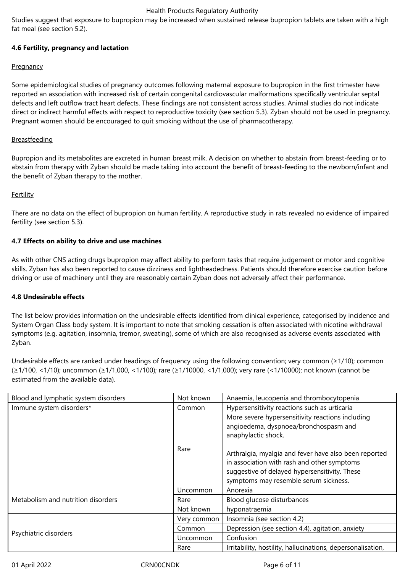Studies suggest that exposure to bupropion may be increased when sustained release bupropion tablets are taken with a high fat meal (see section 5.2).

## **4.6 Fertility, pregnancy and lactation**

#### **Pregnancy**

Some epidemiological studies of pregnancy outcomes following maternal exposure to bupropion in the first trimester have reported an association with increased risk of certain congenital cardiovascular malformations specifically ventricular septal defects and left outflow tract heart defects. These findings are not consistent across studies. Animal studies do not indicate direct or indirect harmful effects with respect to reproductive toxicity (see section 5.3). Zyban should not be used in pregnancy. Pregnant women should be encouraged to quit smoking without the use of pharmacotherapy.

#### Breastfeeding

Bupropion and its metabolites are excreted in human breast milk. A decision on whether to abstain from breast-feeding or to abstain from therapy with Zyban should be made taking into account the benefit of breast-feeding to the newborn/infant and the benefit of Zyban therapy to the mother.

#### **Fertility**

There are no data on the effect of bupropion on human fertility. A reproductive study in rats revealed no evidence of impaired fertility (see section 5.3).

#### **4.7 Effects on ability to drive and use machines**

As with other CNS acting drugs bupropion may affect ability to perform tasks that require judgement or motor and cognitive skills. Zyban has also been reported to cause dizziness and lightheadedness. Patients should therefore exercise caution before driving or use of machinery until they are reasonably certain Zyban does not adversely affect their performance.

#### **4.8 Undesirable effects**

The list below provides information on the undesirable effects identified from clinical experience, categorised by incidence and System Organ Class body system. It is important to note that smoking cessation is often associated with nicotine withdrawal symptoms (e.g. agitation, insomnia, tremor, sweating), some of which are also recognised as adverse events associated with Zyban.

Undesirable effects are ranked under headings of frequency using the following convention; very common (≥1/10); common (≥1/100, <1/10); uncommon (≥1/1,000, <1/100); rare (≥1/10000, <1/1,000); very rare (<1/10000); not known (cannot be estimated from the available data).

| Blood and lymphatic system disorders | Not known   | Anaemia, leucopenia and thrombocytopenia                                                                                                                                                       |
|--------------------------------------|-------------|------------------------------------------------------------------------------------------------------------------------------------------------------------------------------------------------|
| Immune system disorders*             | Common      | Hypersensitivity reactions such as urticaria                                                                                                                                                   |
| Rare                                 |             | More severe hypersensitivity reactions including<br>angioedema, dyspnoea/bronchospasm and<br>anaphylactic shock.                                                                               |
|                                      |             | Arthralgia, myalgia and fever have also been reported<br>in association with rash and other symptoms<br>suggestive of delayed hypersensitivity. These<br>symptoms may resemble serum sickness. |
| Metabolism and nutrition disorders   | Uncommon    | Anorexia                                                                                                                                                                                       |
|                                      | Rare        | Blood glucose disturbances                                                                                                                                                                     |
|                                      | Not known   | hyponatraemia                                                                                                                                                                                  |
| Psychiatric disorders                | Very common | Insomnia (see section 4.2)                                                                                                                                                                     |
|                                      | Common      | Depression (see section 4.4), agitation, anxiety                                                                                                                                               |
|                                      | Uncommon    | Confusion                                                                                                                                                                                      |
|                                      | Rare        | Irritability, hostility, hallucinations, depersonalisation,                                                                                                                                    |

01 April 2022 CRN00CNDK Page 6 of 11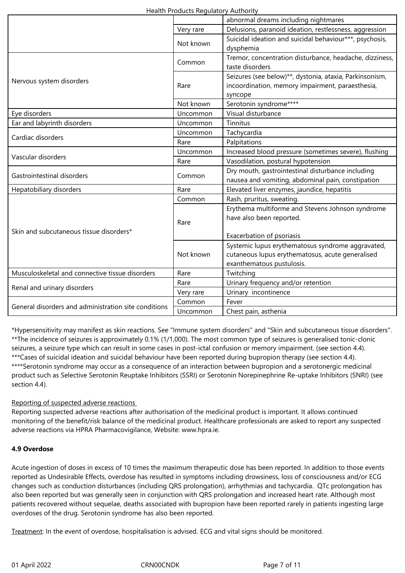|                                                      |           | abnormal dreams including nightmares                                                                                               |
|------------------------------------------------------|-----------|------------------------------------------------------------------------------------------------------------------------------------|
|                                                      | Very rare | Delusions, paranoid ideation, restlessness, aggression                                                                             |
|                                                      | Not known | Suicidal ideation and suicidal behaviour***, psychosis,<br>dysphemia                                                               |
| Nervous system disorders                             | Common    | Tremor, concentration disturbance, headache, dizziness,<br>taste disorders                                                         |
|                                                      | Rare      | Seizures (see below)**, dystonia, ataxia, Parkinsonism,<br>incoordination, memory impairment, paraesthesia,<br>syncope             |
|                                                      | Not known | Serotonin syndrome****                                                                                                             |
| Eye disorders                                        | Uncommon  | Visual disturbance                                                                                                                 |
| Ear and labyrinth disorders                          | Uncommon  | Tinnitus                                                                                                                           |
| Cardiac disorders                                    | Uncommon  | Tachycardia                                                                                                                        |
|                                                      | Rare      | Palpitations                                                                                                                       |
|                                                      | Uncommon  | Increased blood pressure (sometimes severe), flushing                                                                              |
| Vascular disorders                                   | Rare      | Vasodilation, postural hypotension                                                                                                 |
| Gastrointestinal disorders                           | Common    | Dry mouth, gastrointestinal disturbance including<br>nausea and vomiting, abdominal pain, constipation                             |
| Hepatobiliary disorders                              | Rare      | Elevated liver enzymes, jaundice, hepatitis                                                                                        |
| Skin and subcutaneous tissue disorders*              | Common    | Rash, pruritus, sweating.                                                                                                          |
|                                                      | Rare      | Erythema multiforme and Stevens Johnson syndrome<br>have also been reported.<br>Exacerbation of psoriasis                          |
|                                                      | Not known | Systemic lupus erythematosus syndrome aggravated,<br>cutaneous lupus erythematosus, acute generalised<br>exanthematous pustulosis. |
| Musculoskeletal and connective tissue disorders      | Rare      | Twitching                                                                                                                          |
| Renal and urinary disorders                          | Rare      | Urinary frequency and/or retention                                                                                                 |
|                                                      | Very rare | Urinary incontinence                                                                                                               |
| General disorders and administration site conditions | Common    | Fever                                                                                                                              |
|                                                      | Uncommon  | Chest pain, asthenia                                                                                                               |

\*Hypersensitivity may manifest as skin reactions. See "Immune system disorders" and "Skin and subcutaneous tissue disorders". \*\*The incidence of seizures is approximately 0.1% (1/1,000). The most common type of seizures is generalised tonic-clonic seizures, a seizure type which can result in some cases in post-ictal confusion or memory impairment. (see section 4.4). \*\*\*Cases of suicidal ideation and suicidal behaviour have been reported during bupropion therapy (see section 4.4). \*\*\*\*Serotonin syndrome may occur as a consequence of an interaction between bupropion and a serotonergic medicinal product such as Selective Serotonin Reuptake Inhibitors (SSRI) or Serotonin Norepinephrine Re-uptake Inhibitors (SNRI) (see section 4.4).

## Reporting of suspected adverse reactions

Reporting suspected adverse reactions after authorisation of the medicinal product is important. It allows continued monitoring of the benefit/risk balance of the medicinal product. Healthcare professionals are asked to report any suspected adverse reactions via HPRA Pharmacovigilance, Website: www.hpra.ie.

## **4.9 Overdose**

Acute ingestion of doses in excess of 10 times the maximum therapeutic dose has been reported. In addition to those events reported as Undesirable Effects, overdose has resulted in symptoms including drowsiness, loss of consciousness and/or ECG changes such as conduction disturbances (including QRS prolongation), arrhythmias and tachycardia. QTc prolongation has also been reported but was generally seen in conjunction with QRS prolongation and increased heart rate. Although most patients recovered without sequelae, deaths associated with bupropion have been reported rarely in patients ingesting large overdoses of the drug. Serotonin syndrome has also been reported.

Treatment: In the event of overdose, hospitalisation is advised. ECG and vital signs should be monitored.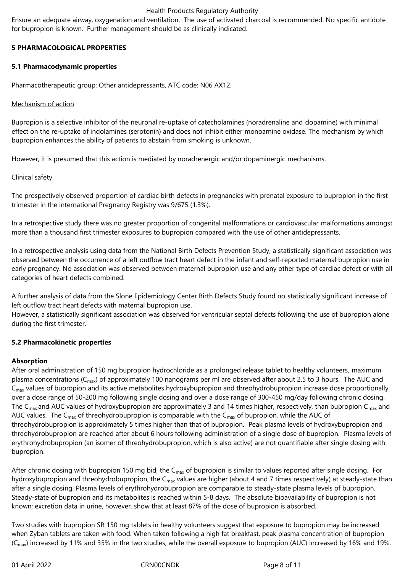Ensure an adequate airway, oxygenation and ventilation. The use of activated charcoal is recommended. No specific antidote for bupropion is known. Further management should be as clinically indicated.

## **5 PHARMACOLOGICAL PROPERTIES**

#### **5.1 Pharmacodynamic properties**

Pharmacotherapeutic group: Other antidepressants, ATC code: N06 AX12.

#### Mechanism of action

Bupropion is a selective inhibitor of the neuronal re-uptake of catecholamines (noradrenaline and dopamine) with minimal effect on the re-uptake of indolamines (serotonin) and does not inhibit either monoamine oxidase. The mechanism by which bupropion enhances the ability of patients to abstain from smoking is unknown.

However, it is presumed that this action is mediated by noradrenergic and/or dopaminergic mechanisms.

#### Clinical safety

The prospectively observed proportion of cardiac birth defects in pregnancies with prenatal exposure to bupropion in the first trimester in the international Pregnancy Registry was 9/675 (1.3%).

In a retrospective study there was no greater proportion of congenital malformations or cardiovascular malformations amongst more than a thousand first trimester exposures to bupropion compared with the use of other antidepressants.

In a retrospective analysis using data from the National Birth Defects Prevention Study, a statistically significant association was observed between the occurrence of a left outflow tract heart defect in the infant and self-reported maternal bupropion use in early pregnancy. No association was observed between maternal bupropion use and any other type of cardiac defect or with all categories of heart defects combined.

A further analysis of data from the Slone Epidemiology Center Birth Defects Study found no statistically significant increase of left outflow tract heart defects with maternal bupropion use.

However, a statistically significant association was observed for ventricular septal defects following the use of bupropion alone during the first trimester.

## **5.2 Pharmacokinetic properties**

#### **Absorption**

After oral administration of 150 mg bupropion hydrochloride as a prolonged release tablet to healthy volunteers, maximum plasma concentrations ( $C_{\text{max}}$ ) of approximately 100 nanograms per ml are observed after about 2.5 to 3 hours. The AUC and C<sub>max</sub> values of bupropion and its active metabolites hydroxybupropion and threohydrobupropion increase dose proportionally over a dose range of 50-200 mg following single dosing and over a dose range of 300-450 mg/day following chronic dosing. The C<sub>max</sub> and AUC values of hydroxybupropion are approximately 3 and 14 times higher, respectively, than bupropion C<sub>max</sub> and AUC values. The C<sub>max</sub> of threohydrobupropion is comparable with the C<sub>max</sub> of bupropion, while the AUC of threohydrobupropion is approximately 5 times higher than that of bupropion. Peak plasma levels of hydroxybupropion and threohydrobupropion are reached after about 6 hours following administration of a single dose of bupropion. Plasma levels of erythrohydrobupropion (an isomer of threohydrobupropion, which is also active) are not quantifiable after single dosing with bupropion.

After chronic dosing with bupropion 150 mg bid, the C<sub>max</sub> of bupropion is similar to values reported after single dosing. For hydroxybupropion and threohydrobupropion, the C<sub>max</sub> values are higher (about 4 and 7 times respectively) at steady-state than after a single dosing. Plasma levels of erythrohydrobupropion are comparable to steady-state plasma levels of bupropion. Steady-state of bupropion and its metabolites is reached within 5-8 days. The absolute bioavailability of bupropion is not known; excretion data in urine, however, show that at least 87% of the dose of bupropion is absorbed.

Two studies with bupropion SR 150 mg tablets in healthy volunteers suggest that exposure to bupropion may be increased when Zyban tablets are taken with food. When taken following a high fat breakfast, peak plasma concentration of bupropion  $(C<sub>max</sub>)$  increased by 11% and 35% in the two studies, while the overall exposure to bupropion (AUC) increased by 16% and 19%.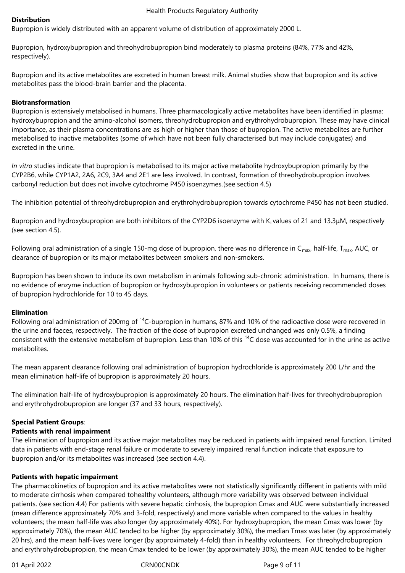#### **Distribution**

Bupropion is widely distributed with an apparent volume of distribution of approximately 2000 L.

Bupropion, hydroxybupropion and threohydrobupropion bind moderately to plasma proteins (84%, 77% and 42%, respectively).

Bupropion and its active metabolites are excreted in human breast milk. Animal studies show that bupropion and its active metabolites pass the blood-brain barrier and the placenta.

#### **Biotransformation**

Bupropion is extensively metabolised in humans. Three pharmacologically active metabolites have been identified in plasma: hydroxybupropion and the amino-alcohol isomers, threohydrobupropion and erythrohydrobupropion. These may have clinical importance, as their plasma concentrations are as high or higher than those of bupropion. The active metabolites are further metabolised to inactive metabolites (some of which have not been fully characterised but may include conjugates) and excreted in the urine.

*In vitro* studies indicate that bupropion is metabolised to its major active metabolite hydroxybupropion primarily by the CYP2B6, while CYP1A2, 2A6, 2C9, 3A4 and 2E1 are less involved. In contrast, formation of threohydrobupropion involves carbonyl reduction but does not involve cytochrome P450 isoenzymes.(see section 4.5)

The inhibition potential of threohydrobupropion and erythrohydrobupropion towards cytochrome P450 has not been studied.

Bupropion and hydroxybupropion are both inhibitors of the CYP2D6 isoenzyme with Ki values of 21 and 13.3μM, respectively (see section 4.5).

Following oral administration of a single 150-mg dose of bupropion, there was no difference in C<sub>max</sub>, half-life, T<sub>max</sub>, AUC, or clearance of bupropion or its major metabolites between smokers and non-smokers.

Bupropion has been shown to induce its own metabolism in animals following sub-chronic administration. In humans, there is no evidence of enzyme induction of bupropion or hydroxybupropion in volunteers or patients receiving recommended doses of bupropion hydrochloride for 10 to 45 days.

#### **Elimination**

Following oral administration of 200mg of <sup>14</sup>C-bupropion in humans, 87% and 10% of the radioactive dose were recovered in the urine and faeces, respectively. The fraction of the dose of bupropion excreted unchanged was only 0.5%, a finding consistent with the extensive metabolism of bupropion. Less than 10% of this <sup>14</sup>C dose was accounted for in the urine as active metabolites.

The mean apparent clearance following oral administration of bupropion hydrochloride is approximately 200 L/hr and the mean elimination half-life of bupropion is approximately 20 hours.

The elimination half-life of hydroxybupropion is approximately 20 hours. The elimination half-lives for threohydrobupropion and erythrohydrobupropion are longer (37 and 33 hours, respectively).

#### **Special Patient Groups**:

#### **Patients with renal impairment**

The elimination of bupropion and its active major metabolites may be reduced in patients with impaired renal function. Limited data in patients with end-stage renal failure or moderate to severely impaired renal function indicate that exposure to bupropion and/or its metabolites was increased (see section 4.4).

#### **Patients with hepatic impairment**

The pharmacokinetics of bupropion and its active metabolites were not statistically significantly different in patients with mild to moderate cirrhosis when compared tohealthy volunteers, although more variability was observed between individual patients. (see section 4.4) For patients with severe hepatic cirrhosis, the bupropion Cmax and AUC were substantially increased (mean difference approximately 70% and 3-fold, respectively) and more variable when compared to the values in healthy volunteers; the mean half-life was also longer (by approximately 40%). For hydroxybupropion, the mean Cmax was lower (by approximately 70%), the mean AUC tended to be higher (by approximately 30%), the median Tmax was later (by approximately 20 hrs), and the mean half-lives were longer (by approximately 4-fold) than in healthy volunteers. For threohydrobupropion and erythrohydrobupropion, the mean Cmax tended to be lower (by approximately 30%), the mean AUC tended to be higher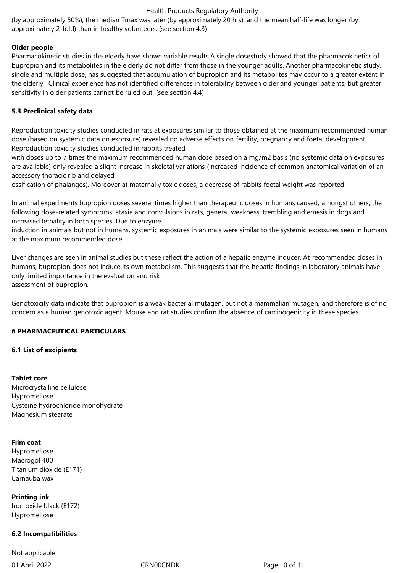(by approximately 50%), the median Tmax was later (by approximately 20 hrs), and the mean half-life was longer (by approximately 2-fold) than in healthy volunteers. (see section 4.3)

#### **Older people**

Pharmacokinetic studies in the elderly have shown variable results.A single dosestudy showed that the pharmacokinetics of bupropion and its metabolites in the elderly do not differ from those in the younger adults. Another pharmacokinetic study, single and multiple dose, has suggested that accumulation of bupropion and its metabolites may occur to a greater extent in the elderly. Clinical experience has not identified differences in tolerability between older and younger patients, but greater sensitivity in older patients cannot be ruled out. (see section 4.4)

## **5.3 Preclinical safety data**

Reproduction toxicity studies conducted in rats at exposures similar to those obtained at the maximum recommended human dose (based on systemic data on exposure) revealed no adverse effects on fertility, pregnancy and foetal development. Reproduction toxicity studies conducted in rabbits treated

with doses up to 7 times the maximum recommended human dose based on a mg/m2 basis (no systemic data on exposures are available) only revealed a slight increase in skeletal variations (increased incidence of common anatomical variation of an accessory thoracic rib and delayed

ossification of phalanges). Moreover at maternally toxic doses, a decrease of rabbits foetal weight was reported.

In animal experiments bupropion doses several times higher than therapeutic doses in humans caused, amongst others, the following dose-related symptoms: ataxia and convulsions in rats, general weakness, trembling and emesis in dogs and increased lethality in both species. Due to enzyme

induction in animals but not in humans, systemic exposures in animals were similar to the systemic exposures seen in humans at the maximum recommended dose.

Liver changes are seen in animal studies but these reflect the action of a hepatic enzyme inducer. At recommended doses in humans, bupropion does not induce its own metabolism. This suggests that the hepatic findings in laboratory animals have only limited importance in the evaluation and risk assessment of bupropion.

Genotoxicity data indicate that bupropion is a weak bacterial mutagen, but not a mammalian mutagen, and therefore is of no concern as a human genotoxic agent. Mouse and rat studies confirm the absence of carcinogenicity in these species.

#### **6 PHARMACEUTICAL PARTICULARS**

## **6.1 List of excipients**

#### **Tablet core**

Microcrystalline cellulose Hypromellose Cysteine hydrochloride monohydrate Magnesium stearate

#### **Film coat**

Hypromellose Macrogol 400 Titanium dioxide (E171) Carnauba wax

**Printing ink** Iron oxide black (E172) Hypromellose

#### **6.2 Incompatibilities**

01 April 2022 CRN00CNDK Page 10 of 11 Not applicable